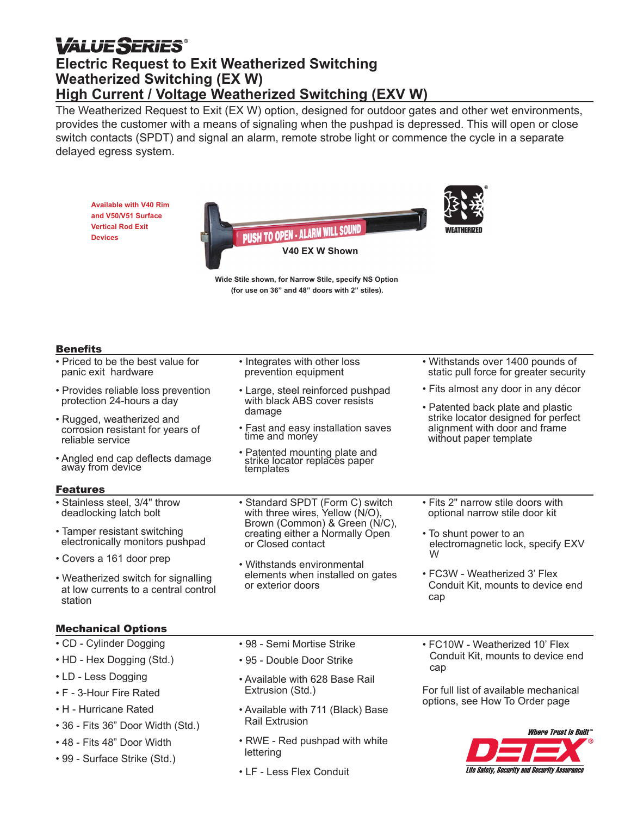## *VALUE SERIES* **Electric Request to Exit Weatherized Switching Weatherized Switching (EX W) High Current / Voltage Weatherized Switching (EXV W)**

The Weatherized Request to Exit (EX W) option, designed for outdoor gates and other wet environments, provides the customer with a means of signaling when the pushpad is depressed. This will open or close switch contacts (SPDT) and signal an alarm, remote strobe light or commence the cycle in a separate delayed egress system.

**Available with V40 Rim and V50/V51 Surface Vertical Rod Exit Devices**



**Wide Stile shown, for Narrow Stile, specify NS Option (for use on 36" and 48" doors with 2" stiles).**

#### **Benefits**

- Priced to be the best value for panic exit hardware
- Provides reliable loss prevention protection 24-hours a day
- Rugged, weatherized and corrosion resistant for years of reliable service
- Angled end cap deflects damage away from device

#### Features

- Stainless steel, 3/4" throw deadlocking latch bolt
- Tamper resistant switching electronically monitors pushpad
- Covers a 161 door prep
- Weatherized switch for signalling at low currents to a central control station

#### Mechanical Options

- CD Cylinder Dogging
- HD Hex Dogging (Std.)
- LD Less Dogging
- F 3-Hour Fire Rated
- H Hurricane Rated
- 36 Fits 36" Door Width (Std.)
- 48 Fits 48" Door Width
- 99 Surface Strike (Std.)
- Integrates with other loss prevention equipment
- Large, steel reinforced pushpad with black ABS cover resists damage
- Fast and easy installation saves time and money
- Patented mounting plate and strike locator replaces paper templates
- Standard SPDT (Form C) switch with three wires, Yellow (N/O), Brown (Common) & Green (N/C), creating either a Normally Open or Closed contact
- Withstands environmental elements when installed on gates or exterior doors

• Withstands over 1400 pounds of static pull force for greater security • Fits almost any door in any décor • Patented back plate and plastic strike locator designed for perfect alignment with door and frame without paper template

- Fits 2" narrow stile doors with optional narrow stile door kit
- To shunt power to an electromagnetic lock, specify EXV W
- FC3W Weatherized 3' Flex Conduit Kit, mounts to device end cap
- 98 Semi Mortise Strike
- 95 Double Door Strike
- Available with 628 Base Rail Extrusion (Std.)
- Available with 711 (Black) Base Rail Extrusion
- RWE Red pushpad with white lettering
- LF Less Flex Conduit

• FC10W - Weatherized 10' Flex Conduit Kit, mounts to device end cap

For full list of available mechanical options, see How To Order page